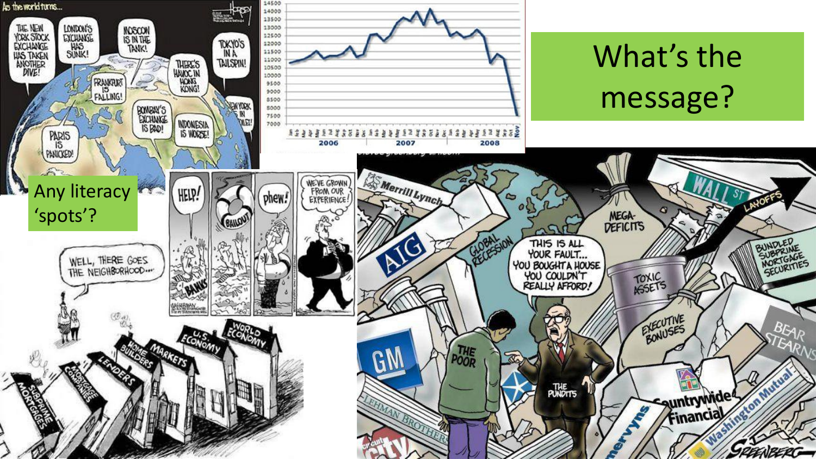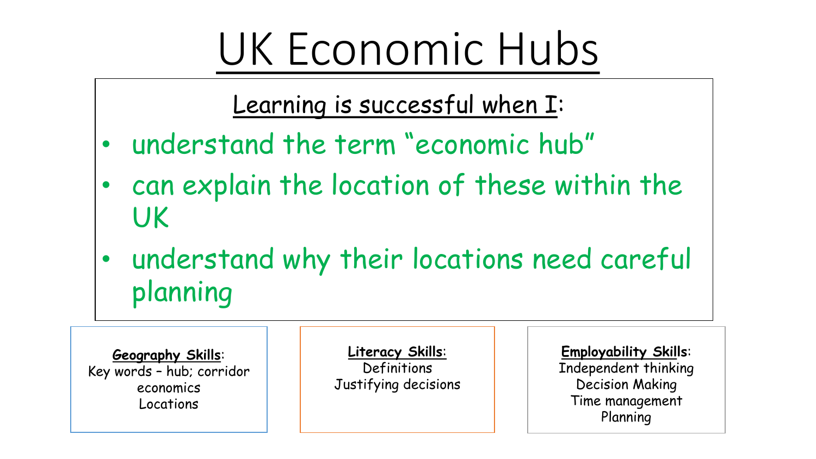# UK Economic Hubs

Learning is successful when I:

- understand the term "economic hub"
- can explain the location of these within the UK
- understand why their locations need careful planning

**Geography Skills**: Key words – hub; corridor economics Locations

**Literacy Skills**: Definitions Justifying decisions

**Employability Skills**: Independent thinking Decision Making Time management Planning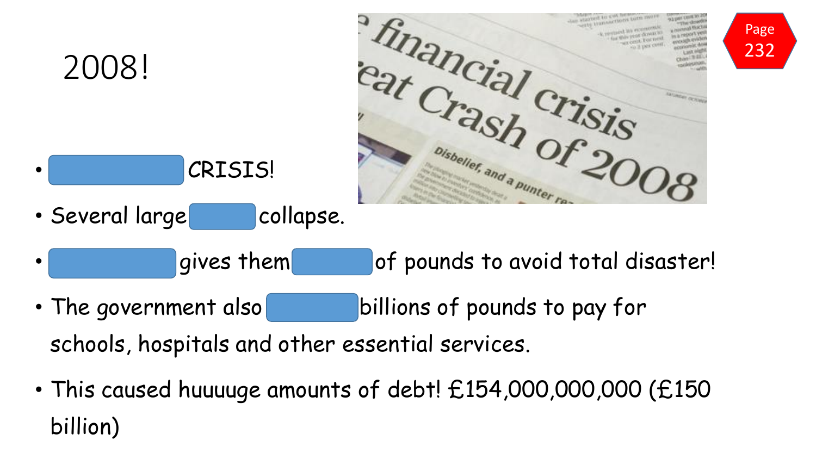

• This caused huuuuge amounts of debt! £154,000,000,000 (£150 billion)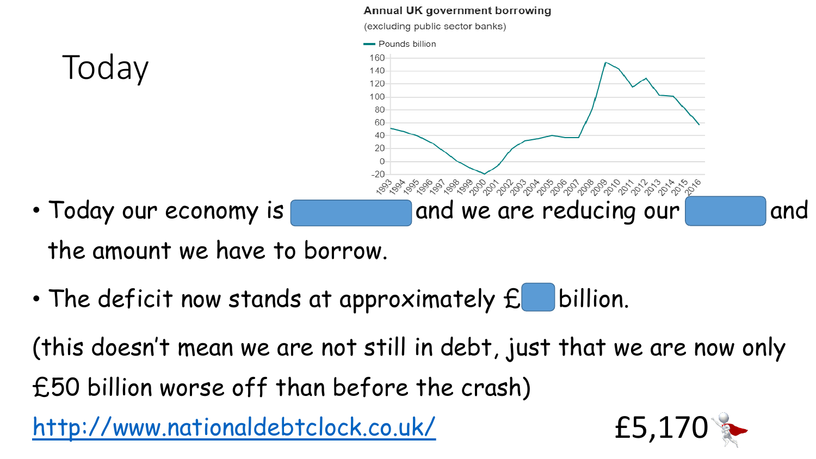

the amount we have to borrow.

• The deficit now stands at approximately  $f_{\text{c}}$  billion.

(this doesn't mean we are not still in debt, just that we are now only £50 billion worse off than before the crash)

<http://www.nationaldebtclock.co.uk/> £5,17

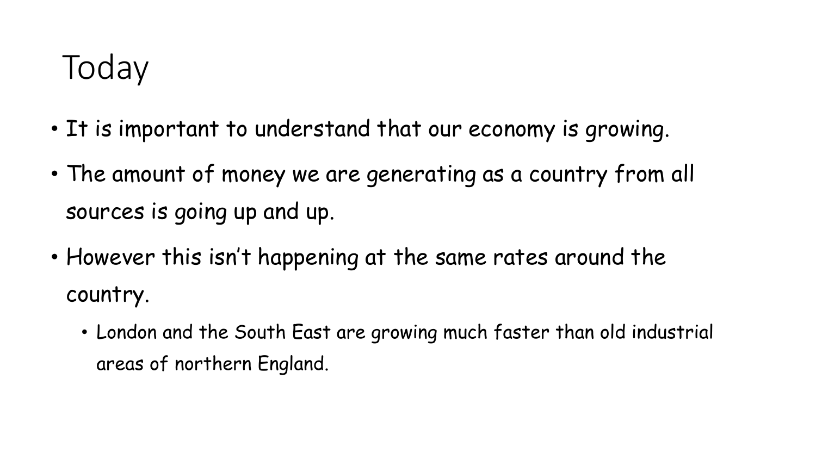## **Today**

- It is important to understand that our economy is growing.
- The amount of money we are generating as a country from all sources is going up and up.
- However this isn't happening at the same rates around the country.
	- London and the South East are growing much faster than old industrial areas of northern England.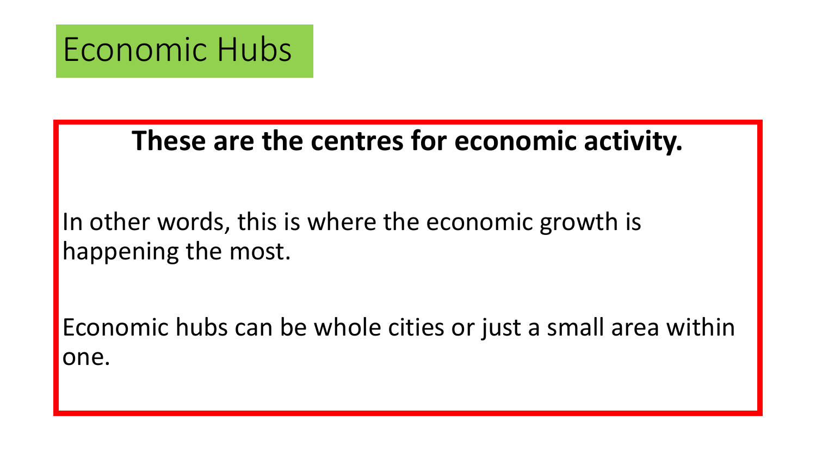

#### **These are the centres for economic activity.**

In other words, this is where the economic growth is happening the most.

Economic hubs can be whole cities or just a small area within one.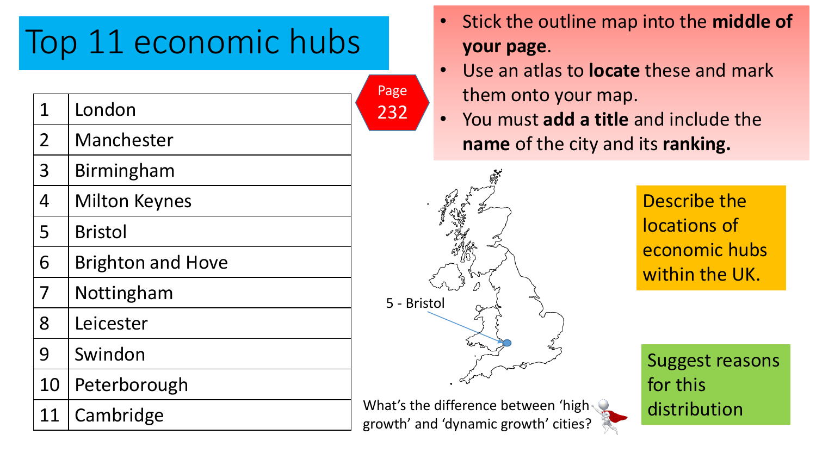# Top 11 economic hubs

|                |                          | Page             |
|----------------|--------------------------|------------------|
| $\mathbf 1$    | London                   | 232              |
| $\overline{2}$ | Manchester               |                  |
| 3              | Birmingham               |                  |
| 4              | <b>Milton Keynes</b>     |                  |
| 5              | <b>Bristol</b>           |                  |
| 6              | <b>Brighton and Hove</b> |                  |
| 7              | Nottingham               | $5 - 1$          |
| 8              | Leicester                |                  |
| 9              | Swindon                  |                  |
| 10             | Peterborough             |                  |
| 11             | Cambridge                | What's<br>growth |
|                |                          |                  |

- Stick the outline map into the **middle of your page**.
	- Use an atlas to **locate** these and mark them onto your map.
	- You must **add a title** and include the **name** of the city and its **ranking.**



Describe the locations of economic hubs within the UK.

hat's the difference between 'high and distribution owth' and 'dynamic growth' cities?

Suggest reasons for this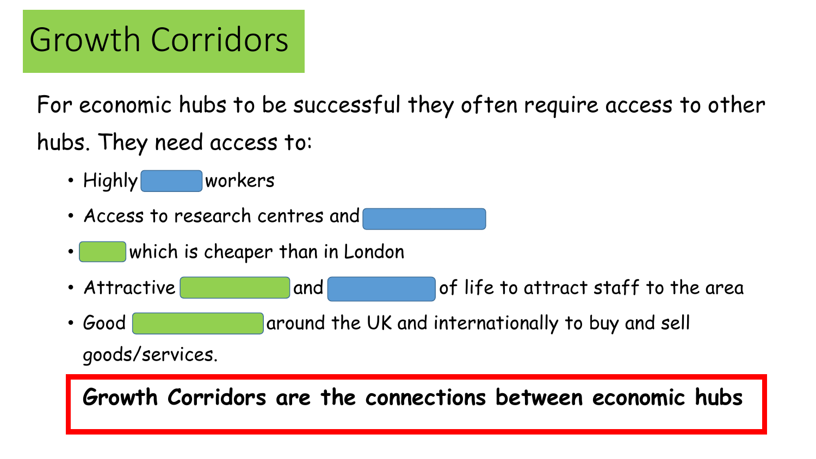For economic hubs to be successful they often require access to other hubs. They need access to:

- Highly workers
- Access to research centres and
- which is cheaper than in London
- Attractive  $\begin{vmatrix} \cdot & \cdot & \cdot \\ \cdot & \cdot & \cdot \\ \cdot & \cdot & \cdot \end{vmatrix}$  of life to attract staff to the area
- Good **the UK** and internationally to buy and sell goods/services.

**Growth Corridors are the connections between economic hubs**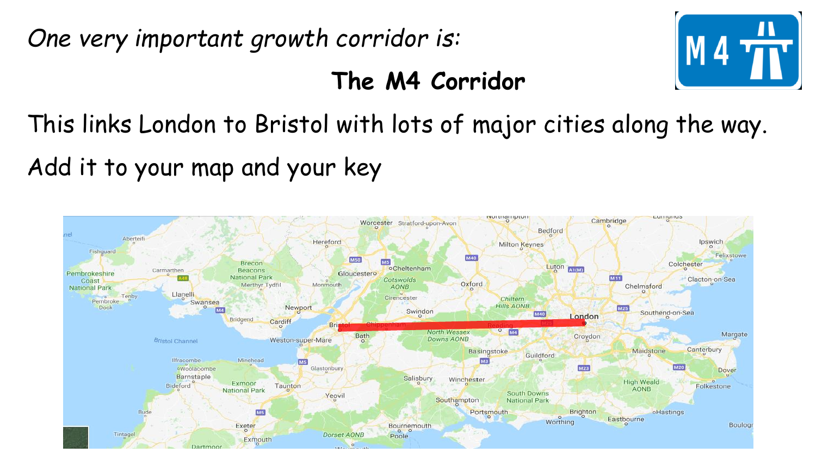*One very important growth corridor is:*

#### **The M4 Corridor**



This links London to Bristol with lots of major cities along the way. Add it to your map and your key

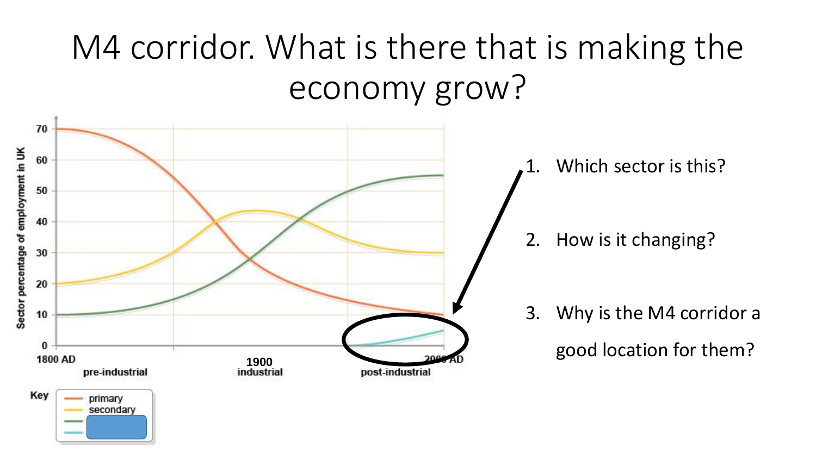# M4 corridor. What is there that is making the economy grow?



Which sector is this?

2. How is it changing?

3. Why is the M4 corridor a good location for them?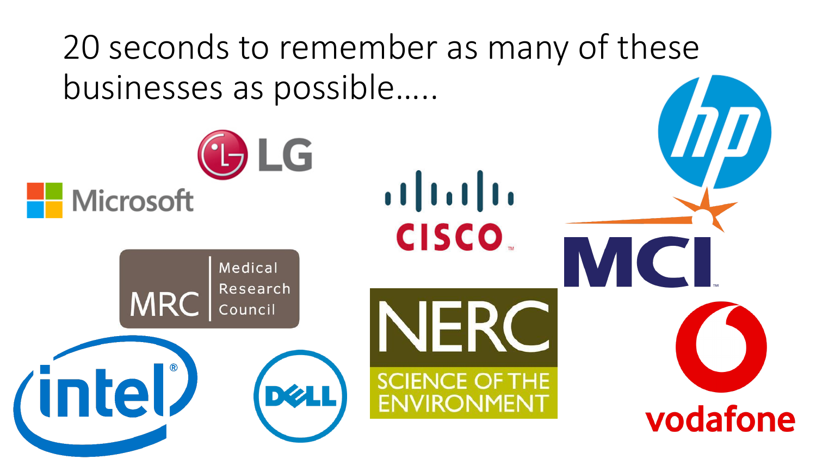20 seconds to remember as many of these businesses as possible…..

**LG Microsoft** CISCO. C IVI ( Medical Research **MRC** Council NER( *(intel)* DØLI **ENVIRONMENT** vodafone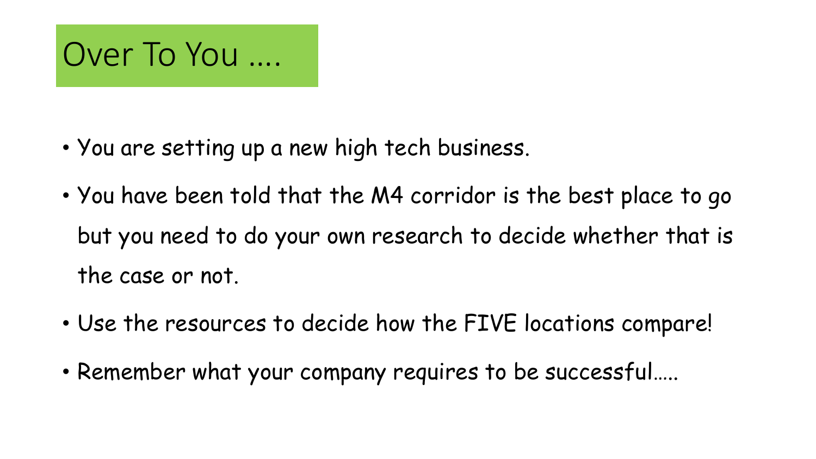

- You are setting up a new high tech business.
- You have been told that the M4 corridor is the best place to go but you need to do your own research to decide whether that is the case or not.
- Use the resources to decide how the FIVE locations compare!
- Remember what your company requires to be successful…..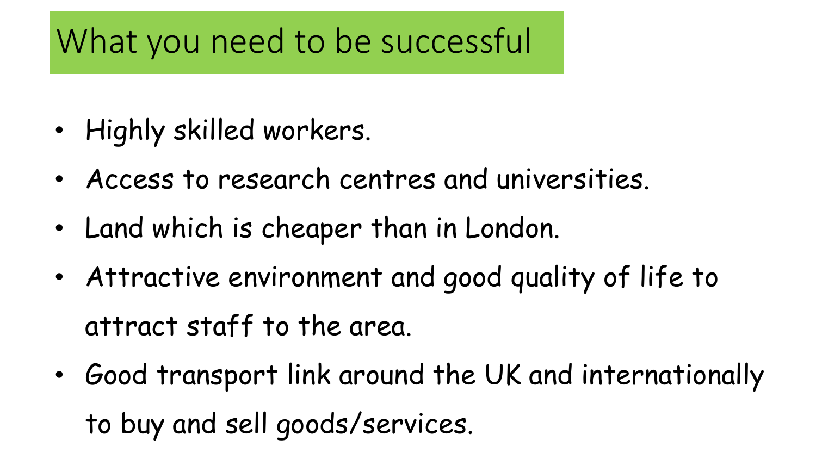# What you need to be successful

- Highly skilled workers.
- Access to research centres and universities.
- Land which is cheaper than in London.
- Attractive environment and good quality of life to attract staff to the area.
- Good transport link around the UK and internationally to buy and sell goods/services.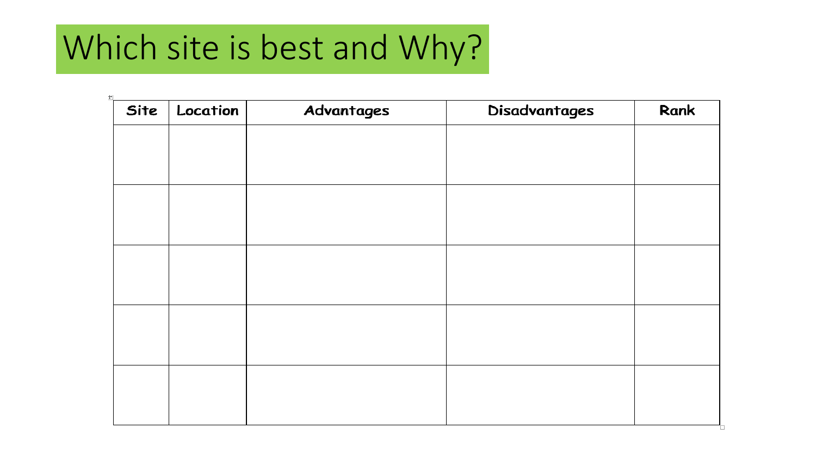### Which site is best and Why?

| Site | Location | Advantages | Disadvantages | Rank |
|------|----------|------------|---------------|------|
|      |          |            |               |      |
|      |          |            |               |      |
|      |          |            |               |      |
|      |          |            |               |      |
|      |          |            |               |      |
|      |          |            |               |      |
|      |          |            |               |      |
|      |          |            |               |      |
|      |          |            |               |      |
|      |          |            |               |      |
|      |          |            |               |      |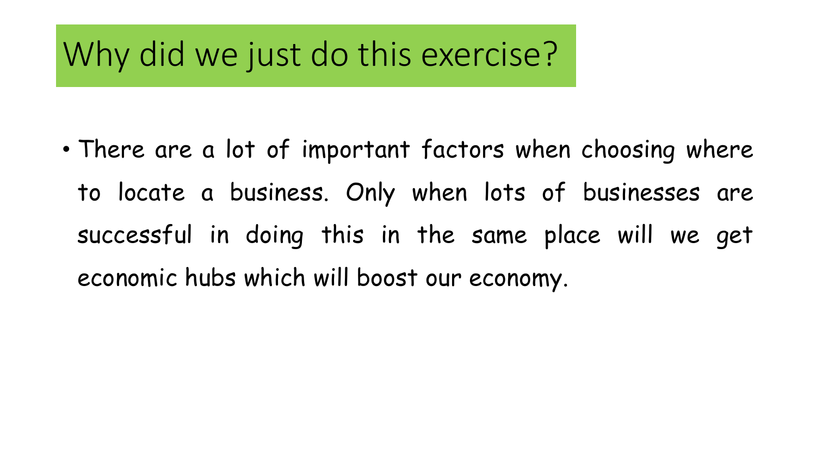#### Why did we just do this exercise?

• There are a lot of important factors when choosing where to locate a business. Only when lots of businesses are successful in doing this in the same place will we get economic hubs which will boost our economy.